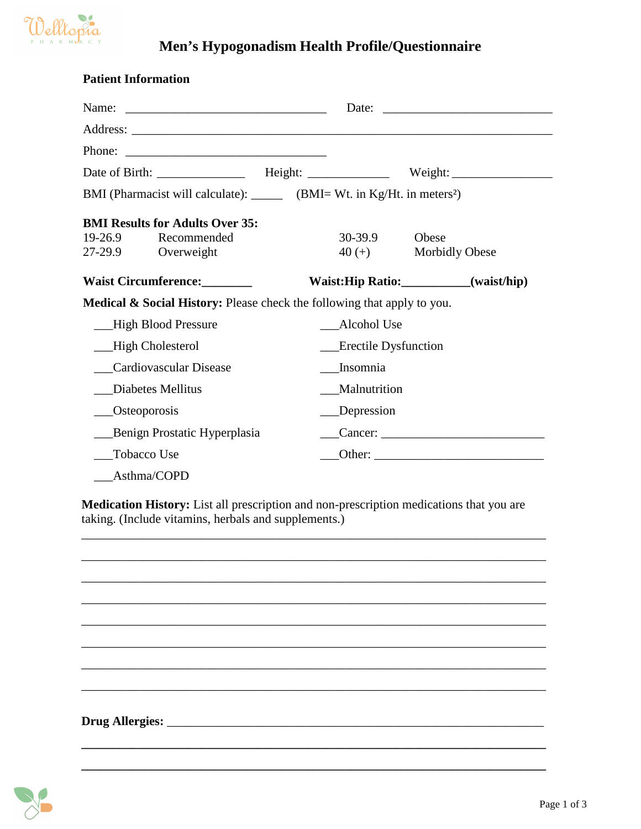

## **Men's Hypogonadism Health Profile/Questionnaire**

| <b>Patient Information</b>                                                            |             |                             |                                                          |  |  |
|---------------------------------------------------------------------------------------|-------------|-----------------------------|----------------------------------------------------------|--|--|
|                                                                                       |             |                             | Date: $\frac{1}{\sqrt{1-\frac{1}{2}} \cdot \frac{1}{2}}$ |  |  |
|                                                                                       |             |                             |                                                          |  |  |
|                                                                                       |             |                             |                                                          |  |  |
|                                                                                       |             |                             |                                                          |  |  |
| BMI (Pharmacist will calculate): _______ (BMI= Wt. in Kg/Ht. in meters <sup>2</sup> ) |             |                             |                                                          |  |  |
| <b>BMI Results for Adults Over 35:</b>                                                |             |                             |                                                          |  |  |
| $19-26.9$<br>Recommended                                                              |             | 30-39.9                     | Obese                                                    |  |  |
| 27-29.9<br>Overweight                                                                 |             | $40 (+)$                    | <b>Morbidly Obese</b>                                    |  |  |
| Waist Circumference: _______                                                          |             |                             | Waist:Hip Ratio:___________(waist/hip)                   |  |  |
| Medical & Social History: Please check the following that apply to you.               |             |                             |                                                          |  |  |
| High Blood Pressure                                                                   | Alcohol Use |                             |                                                          |  |  |
| High Cholesterol                                                                      |             | <b>Erectile Dysfunction</b> |                                                          |  |  |
| <b>Cardiovascular Disease</b>                                                         |             | Insomnia                    |                                                          |  |  |
| Diabetes Mellitus                                                                     |             | Malnutrition                |                                                          |  |  |
| Osteoporosis                                                                          |             | Depression                  |                                                          |  |  |
| Benign Prostatic Hyperplasia                                                          |             |                             |                                                          |  |  |
| <b>Tobacco Use</b>                                                                    |             |                             |                                                          |  |  |
| Asthma/COPD                                                                           |             |                             |                                                          |  |  |

**Medication History:** List all prescription and non-prescription medications that you are taking. (Include vitamins, herbals and supplements.)

\_\_\_\_\_\_\_\_\_\_\_\_\_\_\_\_\_\_\_\_\_\_\_\_\_\_\_\_\_\_\_\_\_\_\_\_\_\_\_\_\_\_\_\_\_\_\_\_\_\_\_\_\_\_\_\_\_\_\_\_\_\_\_\_\_\_\_\_\_\_\_\_\_\_

\_\_\_\_\_\_\_\_\_\_\_\_\_\_\_\_\_\_\_\_\_\_\_\_\_\_\_\_\_\_\_\_\_\_\_\_\_\_\_\_\_\_\_\_\_\_\_\_\_\_\_\_\_\_\_\_\_\_\_\_\_\_\_\_\_\_\_\_\_\_\_\_\_\_

\_\_\_\_\_\_\_\_\_\_\_\_\_\_\_\_\_\_\_\_\_\_\_\_\_\_\_\_\_\_\_\_\_\_\_\_\_\_\_\_\_\_\_\_\_\_\_\_\_\_\_\_\_\_\_\_\_\_\_\_\_\_\_\_\_\_\_\_\_\_\_\_\_\_

\_\_\_\_\_\_\_\_\_\_\_\_\_\_\_\_\_\_\_\_\_\_\_\_\_\_\_\_\_\_\_\_\_\_\_\_\_\_\_\_\_\_\_\_\_\_\_\_\_\_\_\_\_\_\_\_\_\_\_\_\_\_\_\_\_\_\_\_\_\_\_\_\_\_

\_\_\_\_\_\_\_\_\_\_\_\_\_\_\_\_\_\_\_\_\_\_\_\_\_\_\_\_\_\_\_\_\_\_\_\_\_\_\_\_\_\_\_\_\_\_\_\_\_\_\_\_\_\_\_\_\_\_\_\_\_\_\_\_\_\_\_\_\_\_\_\_\_\_

\_\_\_\_\_\_\_\_\_\_\_\_\_\_\_\_\_\_\_\_\_\_\_\_\_\_\_\_\_\_\_\_\_\_\_\_\_\_\_\_\_\_\_\_\_\_\_\_\_\_\_\_\_\_\_\_\_\_\_\_\_\_\_\_\_\_\_\_\_\_\_\_\_\_

\_\_\_\_\_\_\_\_\_\_\_\_\_\_\_\_\_\_\_\_\_\_\_\_\_\_\_\_\_\_\_\_\_\_\_\_\_\_\_\_\_\_\_\_\_\_\_\_\_\_\_\_\_\_\_\_\_\_\_\_\_\_\_\_\_\_\_\_\_\_\_\_\_\_

**\_\_\_\_\_\_\_\_\_\_\_\_\_\_\_\_\_\_\_\_\_\_\_\_\_\_\_\_\_\_\_\_\_\_\_\_\_\_\_\_\_\_\_\_\_\_\_\_\_\_\_\_\_\_\_\_\_\_\_\_\_\_\_\_\_\_\_\_\_\_\_\_\_\_** 

\_\_\_\_\_\_\_\_\_\_\_\_\_\_\_\_\_\_\_\_\_\_\_\_\_\_\_\_\_\_\_\_\_\_\_\_\_\_\_\_\_\_\_\_\_\_\_\_\_\_\_\_\_\_\_\_\_\_\_\_\_\_\_\_\_\_\_\_\_\_\_\_\_\_

**Drug Allergies:** \_\_\_\_\_\_\_\_\_\_\_\_\_\_\_\_\_\_\_\_\_\_\_\_\_\_\_\_\_\_\_\_\_\_\_\_\_\_\_\_\_\_\_\_\_\_\_\_\_\_\_\_\_\_\_\_\_\_\_\_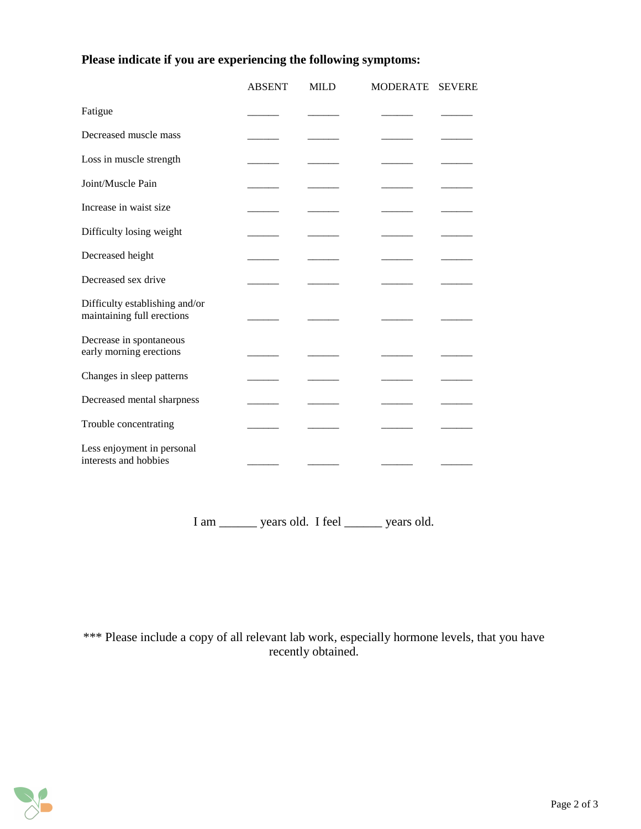## **Please indicate if you are experiencing the following symptoms:**

|                                                              | <b>ABSENT</b> | <b>MILD</b> | <b>MODERATE</b> | <b>SEVERE</b> |
|--------------------------------------------------------------|---------------|-------------|-----------------|---------------|
| Fatigue                                                      |               |             |                 |               |
| Decreased muscle mass                                        |               |             |                 |               |
| Loss in muscle strength                                      |               |             |                 |               |
| Joint/Muscle Pain                                            |               |             |                 |               |
| Increase in waist size                                       |               |             |                 |               |
| Difficulty losing weight                                     |               |             |                 |               |
| Decreased height                                             |               |             |                 |               |
| Decreased sex drive                                          |               |             |                 |               |
| Difficulty establishing and/or<br>maintaining full erections |               |             |                 |               |
| Decrease in spontaneous<br>early morning erections           |               |             |                 |               |
| Changes in sleep patterns                                    |               |             |                 |               |
| Decreased mental sharpness                                   |               |             |                 |               |
| Trouble concentrating                                        |               |             |                 |               |
| Less enjoyment in personal<br>interests and hobbies          |               |             |                 |               |

I am \_\_\_\_\_\_ years old. I feel \_\_\_\_\_\_ years old.

\*\*\* Please include a copy of all relevant lab work, especially hormone levels, that you have recently obtained.